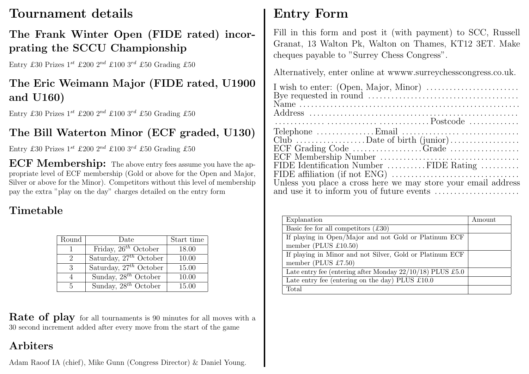## Tournament details

### The Frank Winter Open (FIDE rated) incorprating the SCCU Championship

Entry £30 Prizes  $1^{st}$  £200  $2^{nd}$  £100  $3^{rd}$  £50 Grading £50

## The Eric Weimann Major (FIDE rated, U1900 and U160)

Entry £30 Prizes  $1^{st}$  £200  $2^{nd}$  £100  $3^{rd}$  £50 Grading £50

## The Bill Waterton Minor (ECF graded, U130)

Entry £30 Prizes  $1^{st}$  £200  $2^{nd}$  £100  $3^{rd}$  £50 Grading £50

**ECF Membership:** The above entry fees assume you have the appropriate level of ECF membership (Gold or above for the Open and Major, Silver or above for the Minor). Competitors without this level of membership pay the extra "play on the day" charges detailed on the entry form

## Timetable

| Round         | Date                        | Start time |
|---------------|-----------------------------|------------|
|               | Friday, $26^{th}$ October   | 18.00      |
| $\mathcal{D}$ | Saturday, $27^{th}$ October | 10.00      |
| 3             | Saturday, $27^{th}$ October | 15.00      |
|               | Sunday, $28^{th}$ October   | 10.00      |
| 5             | Sunday, $28^{th}$ October   | 15.00      |

**Rate of play** for all tournaments is 90 minutes for all moves with a 30 second increment added after every move from the start of the game

### Arbiters

Adam Raoof IA (chief), Mike Gunn (Congress Director) & Daniel Young.

## Entry Form

Fill in this form and post it (with payment) to SCC, Russell Granat, 13 Walton Pk, Walton on Thames, KT12 3ET. Make cheques payable to "Surrey Chess Congress".

Alternatively, enter online at wwww.surreychesscongress.co.uk.

| Club $\dots \dots \dots \dots \dots$ Date of birth $(junior) \dots \dots \dots \dots$ |
|---------------------------------------------------------------------------------------|
|                                                                                       |
| FIDE Identification Number FIDE Rating                                                |
| Unless you place a cross here we may store your email address                         |

| Explanation                                                  | Amount |
|--------------------------------------------------------------|--------|
| Basic fee for all competitors $(£30)$                        |        |
| If playing in Open/Major and not Gold or Platinum ECF        |        |
| member (PLUS $£10.50$ )                                      |        |
| If playing in Minor and not Silver, Gold or Platinum ECF     |        |
| member (PLUS $£7.50$ )                                       |        |
| Late entry fee (entering after Monday $22/10/18$ ) PLUS £5.0 |        |
| Late entry fee (entering on the day) PLUS $\pounds 10.0$     |        |
| Total                                                        |        |